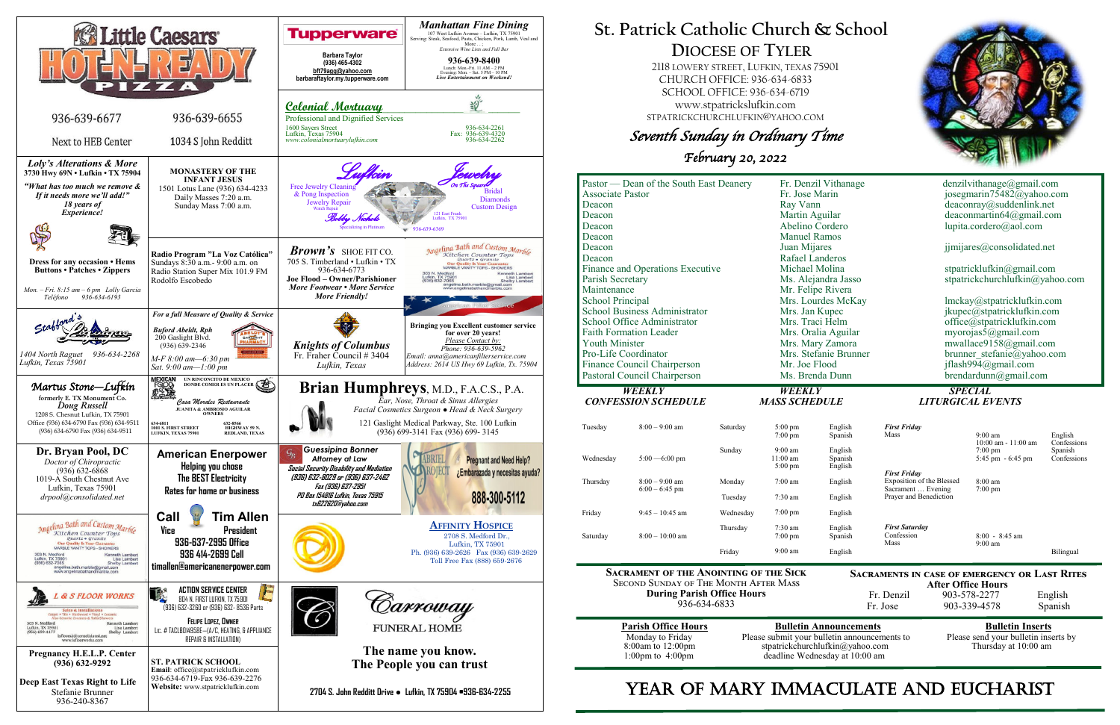

# **St. Patrick Catholic Church & School DIOCESE OF TYLER**

 2118 LOWERY STREET, LUFKIN, TEXAS 75901 CHURCH OFFICE: 936-634-6833 SCHOOL OFFICE: 936-634-6719 www.stpatrickslufkin.com STPATRICKCHURCHLUFKIN@YAHOO.COM

Seventh Sunday in Ordinary Time

February 20, 2022

| Pastor — Dean of the South East Deanery |                             |           | Fr. Denzil Vithanage  |         | denzilvithanage@gmail.com                    |                                          |                        |
|-----------------------------------------|-----------------------------|-----------|-----------------------|---------|----------------------------------------------|------------------------------------------|------------------------|
| <b>Associate Pastor</b>                 |                             |           | Fr. Jose Marin        |         | josegmarin75482@yahoo.com                    |                                          |                        |
| Deacon                                  |                             |           | Ray Vann              |         | deaconray@suddenlink.net                     |                                          |                        |
| Deacon                                  |                             |           | Martin Aguilar        |         | deaconmartin $64@g$ mail.com                 |                                          |                        |
| Deacon                                  |                             |           | Abelino Cordero       |         | lupita.cordero@aol.com                       |                                          |                        |
| Deacon                                  |                             |           | <b>Manuel Ramos</b>   |         |                                              |                                          |                        |
| Deacon                                  |                             |           | Juan Mijares          |         | jimijares@consolidated.net                   |                                          |                        |
| Deacon                                  |                             |           | Rafael Landeros       |         |                                              |                                          |                        |
| Finance and Operations Executive        |                             |           | Michael Molina        |         | stpatricklufkin@gmail.com                    |                                          |                        |
| Parish Secretary                        |                             |           | Ms. Alejandra Jasso   |         | stpatrickchurchlufkin@yahoo.com              |                                          |                        |
| Maintenance                             |                             |           | Mr. Felipe Rivera     |         |                                              |                                          |                        |
| <b>School Principal</b>                 |                             |           | Mrs. Lourdes McKay    |         | lmckay@stpatricklufkin.com                   |                                          |                        |
| <b>School Business Administrator</b>    |                             |           | Mrs. Jan Kupec        |         | jkupec@stpatricklufkin.com                   |                                          |                        |
|                                         | School Office Administrator |           | Mrs. Traci Helm       |         | office@stpatricklufkin.com                   |                                          |                        |
| <b>Faith Formation Leader</b>           |                             |           | Mrs. Oralia Aguilar   |         | myorojas5@gmail.com                          |                                          |                        |
| <b>Youth Minister</b>                   |                             |           | Mrs. Mary Zamora      |         | mwallace9158@gmail.com                       |                                          |                        |
| Pro-Life Coordinator                    |                             |           | Mrs. Stefanie Brunner |         | brunner stefanie@yahoo.com                   |                                          |                        |
| Finance Council Chairperson             |                             |           | Mr. Joe Flood         |         | jflash994@gmail.com                          |                                          |                        |
| Pastoral Council Chairperson            |                             |           | Ms. Brenda Dunn       |         | $b$ rendardunn@gmail.com                     |                                          |                        |
| <b>WEEKLY</b>                           |                             |           | <b>WEEKLY</b>         |         | <b>SPECIAL</b>                               |                                          |                        |
| <b>CONFESSION SCHEDULE</b>              |                             |           | <b>MASS SCHEDULE</b>  |         | <b>LITURGICAL EVENTS</b>                     |                                          |                        |
|                                         |                             |           |                       |         |                                              |                                          |                        |
|                                         |                             |           |                       |         |                                              |                                          |                        |
| Tuesday                                 | $8:00 - 9:00$ am            | Saturday  | $5:00$ pm             | English | <b>First Friday</b>                          |                                          |                        |
|                                         |                             |           | $7:00$ pm             | Spanish | Mass                                         | $9:00 \text{ am}$<br>10:00 am - 11:00 am | English                |
|                                         |                             | Sunday    | $9:00$ am             | English |                                              | $7:00 \text{ pm}$                        | Confessions<br>Spanish |
| Wednesday                               | $5:00 - 6:00$ pm            |           | $11:00$ am            | Spanish |                                              | 5:45 pm - 6:45 pm                        | Confessions            |
|                                         |                             |           | 5:00 pm               | English | <b>First Friday</b>                          |                                          |                        |
| Thursday                                | $8:00 - 9:00$ am            | Monday    | $7:00$ am             | English | Exposition of the Blessed                    | $8:00$ am                                |                        |
|                                         | $6:00 - 6:45$ pm            | Tuesday   | 7:30 am               | English | Sacrament  Evening<br>Prayer and Benediction | $7:00$ pm                                |                        |
| Friday                                  | $9:45 - 10:45$ am           | Wednesday | $7:00$ pm             | English |                                              |                                          |                        |
|                                         |                             | Thursday  | 7:30 am               | English | <b>First Saturday</b>                        |                                          |                        |
| Saturday                                | $8:00 - 10:00$ am           |           | $7:00$ pm             | Spanish | Confession                                   | $8:00 - 8:45$ am                         |                        |
|                                         |                             | Friday    | $9:00$ am             | English | Mass                                         | $9:00$ am                                | Bilingual              |

**Sacrament of the Anointing of the Sick** Second Sunday of The Month After Mass **During Parish Office Hours**  936-634-6833

| <b>Parish Office Hour</b> |
|---------------------------|
| Monday to Friday          |
| $8:00$ am to $12:00$ pm   |
| 1:00pm to $4:00$ pm       |

**Parish Office Hours Bulletin Announcements**<br>Please submit your bulletin announcements to Please send your bulletin inserts by Please submit your bulletin announcements to stpatrickchurchlufkin@yahoo.com Thursday at 10:00 am deadline Wednesday at 10:00 am

# YEAR OF MARY IMMACULATE AND EUCHARIST



**Sacraments in case of emergency or Last Rites** 

**After Office Hours**<br>Fr. Denzil 903-578-2277 903-578-2277 English Fr. Jose 903-339-4578 Spanish